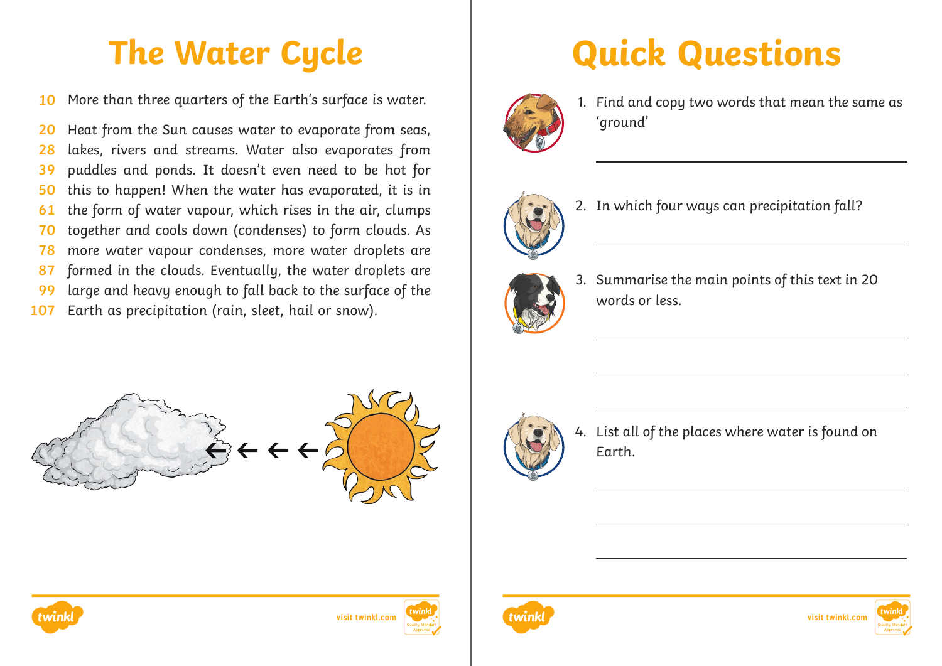More than three quarters of the Earth's surface is water. **10**

Heat from the Sun causes water to evaporate from seas, lakes, rivers and streams. Water also evaporates from puddles and ponds. It doesn't even need to be hot for this to happen! When the water has evaporated, it is in the form of water vapour, which rises in the air, clumps together and cools down (condenses) to form clouds. As more water vapour condenses, more water droplets are formed in the clouds. Eventually, the water droplets are large and heavy enough to fall back to the surface of the Earth as precipitation (rain, sleet, hail or snow). **20 28 39 50 61 70 78 87 99 107**







4. List all of the places where water is found on Earth.









## **The Water Cycle Quick Questions**



1. Find and copy two words that mean the same as 'ground'



2. In which four ways can precipitation fall?



3. Summarise the main points of this text in 20 words or less.